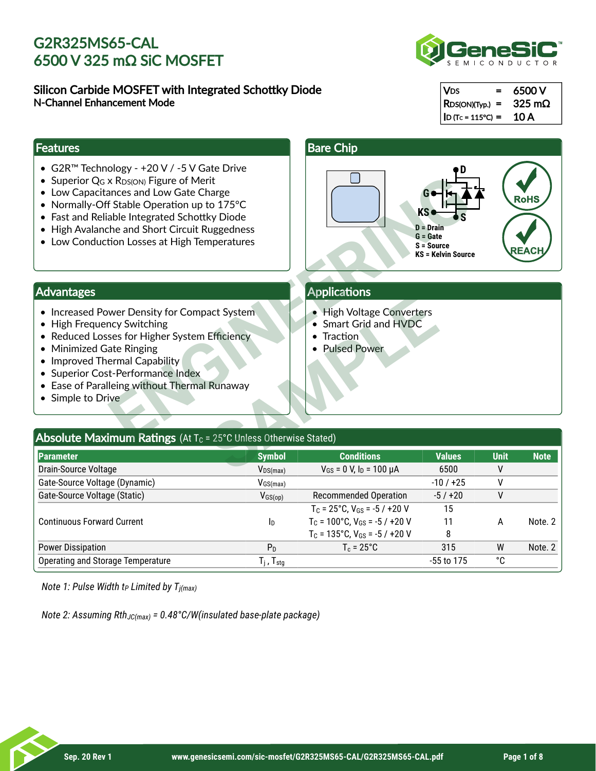### Silicon Carbide MOSFET with Integrated Schottky Diode N-Channel Enhancement Mode



| $ V_{DS} $<br>$=$     | 6500 V           |
|-----------------------|------------------|
| $ $ RDS(ON)(Typ.) =   | $325 \text{ mA}$ |
| $ $ ID (Tc = 115°C) = | 10 A             |

#### **Features**

- G2R™ Technology +20 V / -5 V Gate Drive
- Superior  $Q_G \times R_{DS(ON)}$  Figure of Merit
- Low Capacitances and Low Gate Charge
- Normally-Off Stable Operation up to 175°C
- Fast and Reliable Integrated Schottky Diode
- High Avalanche and Short Circuit Ruggedness
- Low Conduction Losses at High Temperatures



### Advantages

- Increased Power Density for Compact System
- High Frequency Switching
- Reduced Losses for Higher System Efficiency
- Minimized Gate Ringing
- Improved Thermal Capability
- Superior Cost-Performance Index
- Ease of Paralleing without Thermal Runaway
- Simple to Drive

#### **Applications**

- High Voltage Converters
- Smart Grid and HVDC
- **Traction**
- Pulsed Power

### Absolute Maximum Ratings (At T<sub>c</sub> = 25°C Unless Otherwise Stated) **Parameter Symbol Conditions Values Unit Note**  Drain-Source Voltage  $V_{\text{DS}(\text{max})}$   $V_{\text{DS}(\text{max})}$   $V_{\text{GS}} = 0$  V,  $I_{\text{D}} = 100 \ \mu \text{A}$  6500 V Gate-Source Voltage (Dynamic)  $V_{GS(max)}$   $V_{GS(max)}$  -10 / +25 V Gate-Source Voltage (Static)  $V_{GS(op)}$  Recommended Operation  $-5/+20$  V Continuous Forward Current  $T_c = 25^{\circ}$ C,  $V_{GS} = -5 / +20 V$  15  $T_c$  = 100°C, V<sub>GS</sub> = -5 / +20 V 11 A Note. 2  $T_c = 135^{\circ}$ C, V $_{GS} = -5 / +20$  V 8 Power Dissipation  $P_D$   $T_c = 25^{\circ}$   $C$  315 W Note. 2 Operating and Storage Temperature  $T_j$ , T<sub>stg</sub>  $-55$  to 175  $-5$  $V$ <sub>GS(max)</sub>  $V_{GS(op)}$ **I**<sub>D</sub> D l c  $T_j$  ,  $T_{stg}$ act System<br>
Efficiency<br>
Efficiency<br>
Smart Grid and HVDC<br>
Traction<br>
• Pulsed Power<br>
• Pulsed Power<br>
• Pulsed Power<br>
• Pulsed Power<br>
• Pulsed Power<br>
• Pulsed Power<br>
• Pulsed Power<br>
• Pulsed Power<br>
• Pulsed Power<br>
• Pulsed Po

*Note 1: Pulse Width t Limited by T P j(max)*

*Note 2: Assuming Rth<sub>JC(max)</sub> = 0.48°C/W(insulated base-plate package)*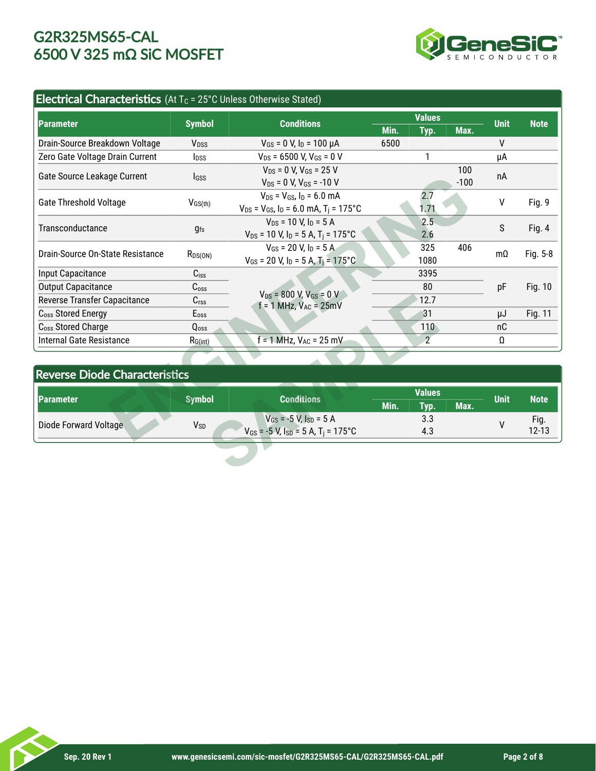

### Electrical Characteristics (At  $T_c$  = 25°C Unless Otherwise Stated)

| <b>Parameter</b>                     | <b>Symbol</b>           | <b>Conditions</b>                                                 | <b>Values</b>         |      |                  | <b>Unit</b> |               |
|--------------------------------------|-------------------------|-------------------------------------------------------------------|-----------------------|------|------------------|-------------|---------------|
|                                      |                         |                                                                   | Min.                  | Typ. | Max.             |             | <b>Note</b>   |
| Drain-Source Breakdown Voltage       | V <sub>DSS</sub>        | $V_{GS}$ = 0 V, $I_D$ = 100 µA                                    | 6500                  |      |                  | V           |               |
| Zero Gate Voltage Drain Current      | <b>I</b> <sub>DSS</sub> | $V_{DS}$ = 6500 V, V <sub>GS</sub> = 0 V                          |                       | 1    |                  | μA          |               |
| Gate Source Leakage Current          |                         | $V_{DS}$ = 0 V, $V_{GS}$ = 25 V                                   |                       |      | 100              | пA          |               |
|                                      | Igss                    | $V_{DS} = 0$ V, $V_{GS} = -10$ V                                  |                       |      | $-100$           |             |               |
|                                      |                         | $V_{DS}$ = $V_{GS}$ , $I_D$ = 6.0 mA                              |                       | 2.7  | v                |             | Fig. 9        |
| <b>Gate Threshold Voltage</b>        | $V_{GS(th)}$            | $V_{DS}$ = $V_{GS}$ , $I_D$ = 6.0 mA, T <sub>i</sub> = 175°C      |                       | 1,71 |                  |             |               |
| Transconductance                     |                         | $V_{DS}$ = 10 V, $I_D$ = 5 A                                      |                       | 2.5  | S                |             | <b>Fig. 4</b> |
|                                      | <b>gfs</b>              | $V_{DS}$ = 10 V, I <sub>D</sub> = 5 A, T <sub>i</sub> = 175°C     |                       | 2.6  |                  |             |               |
| Drain-Source On-State Resistance     | $R_{DS(ON)}$            | $V_{GS}$ = 20 V. In = 5 A.                                        |                       | 325  | 406<br>$m\Omega$ |             | Fig. 5-8      |
|                                      |                         | $V_{GS}$ = 20 V, I <sub>D</sub> = 5 A, T <sub>i</sub> = 175°C     |                       | 1080 |                  |             |               |
| Input Capacitance                    | $C_{iss}$               |                                                                   |                       | 3395 |                  |             |               |
| <b>Output Capacitance</b>            | C <sub>oss</sub>        |                                                                   |                       | 80   | pF               |             | Fig. 10       |
| Reverse Transfer Capacitance         | C <sub>rss</sub>        | $V_{DS}$ = 800 V, $V_{GS}$ = 0 V<br>$f = 1$ MHz, $V_{AC} = 25$ mV |                       | 12.7 |                  |             |               |
| C <sub>oss</sub> Stored Energy       | $E_{\rm oss}$           |                                                                   | 31                    |      |                  | μJ          | Fig. 11       |
| C <sub>oss</sub> Stored Charge       | Qoss                    |                                                                   | 110                   |      |                  | nC          |               |
| <b>Internal Gate Resistance</b>      | $R_{G(int)}$            | $f = 1$ MHz, $V_{AC} = 25$ mV                                     | $\mathbf{2}^{\prime}$ |      |                  | Ω           |               |
|                                      |                         |                                                                   |                       |      |                  |             |               |
| <b>Reverse Diode Characteristics</b> |                         |                                                                   |                       |      |                  |             |               |
| <b>Parameter</b>                     | <b>Symbol</b>           | <b>Conditions</b>                                                 | <b>Values</b>         |      |                  | <b>Unit</b> | <b>Note</b>   |
|                                      |                         |                                                                   | Min.                  | Typ. | Max.             |             |               |
| Diode Forward Voltage                | V <sub>SD</sub>         | $V_{GS}$ = -5 V, $I_{SD}$ = 5 A                                   | 3.3                   |      |                  | V           | Fig.          |
|                                      |                         | $V_{GS}$ = -5 V, $I_{SD}$ = 5 A, T <sub>i</sub> = 175°C           | 4.3                   |      |                  |             | $12 - 13$     |

### Reverse Diode Characteristics

| C <sub>rss</sub>                     | $f = 1$ MHz, $V_{AC} = 25mV$                            |                          | 12.7 |      |             |             |  |  |
|--------------------------------------|---------------------------------------------------------|--------------------------|------|------|-------------|-------------|--|--|
| $E_{\rm oss}$                        |                                                         |                          | 31   |      | μJ          | Fig. 11     |  |  |
| Q <sub>oss</sub>                     |                                                         |                          | 110  |      | nC          |             |  |  |
| $R_{G(int)}$                         | $= 1$ MHz, $V_{AC} = 25$ mV                             |                          |      |      | Ω           |             |  |  |
|                                      |                                                         |                          |      |      |             |             |  |  |
| <b>Reverse Diode Characteristics</b> |                                                         |                          |      |      |             |             |  |  |
| <b>Symbol</b>                        | <b>Conditions</b>                                       | <b>Values</b>            |      |      | <b>Unit</b> | <b>Note</b> |  |  |
|                                      |                                                         |                          |      |      |             |             |  |  |
|                                      |                                                         | Min.                     | Typ. | Max. |             |             |  |  |
|                                      | $V_{GS}$ = -5 V, $I_{SD}$ = 5 A                         |                          | 3.3  |      |             | Fig.        |  |  |
| <b>V</b> sp                          | $V_{GS}$ = -5 V, $I_{SD}$ = 5 A, T <sub>i</sub> = 175°C |                          | 4.3  |      | ۷           | $12 - 13$   |  |  |
|                                      |                                                         |                          |      |      |             |             |  |  |
|                                      |                                                         | $VDS = 800 V, VGS = U V$ |      |      |             |             |  |  |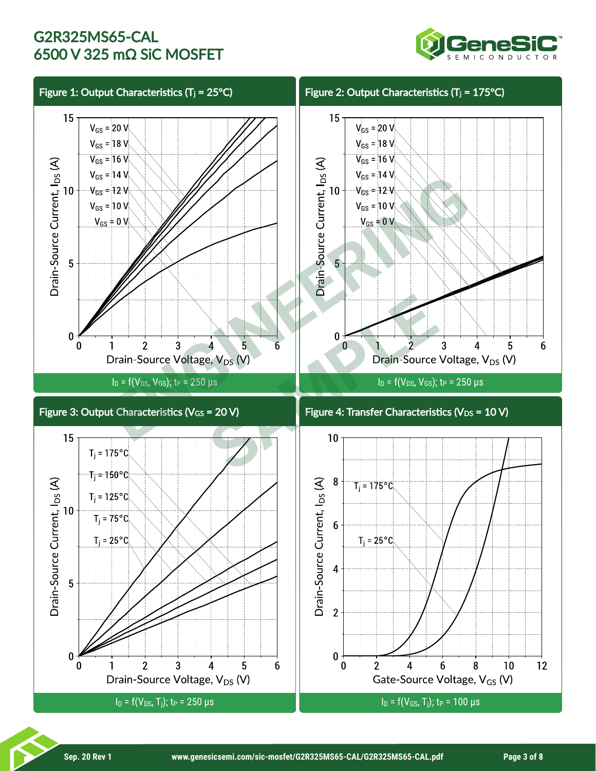

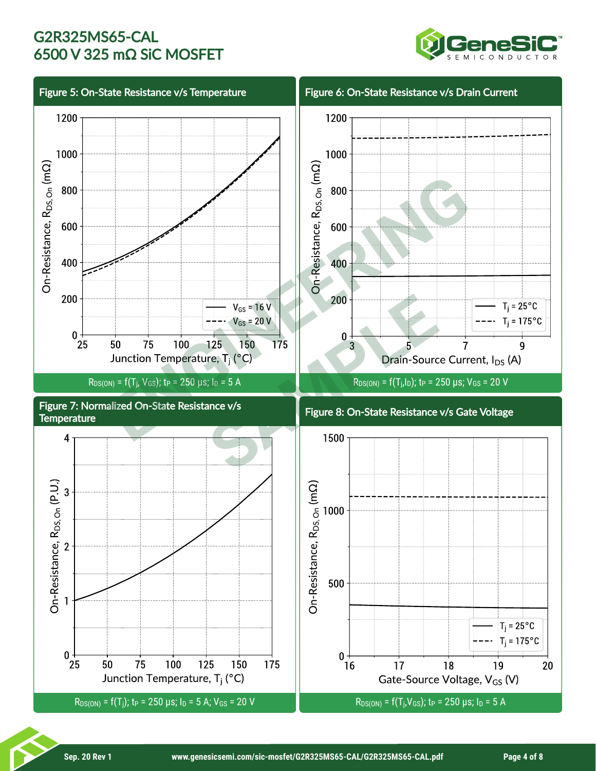

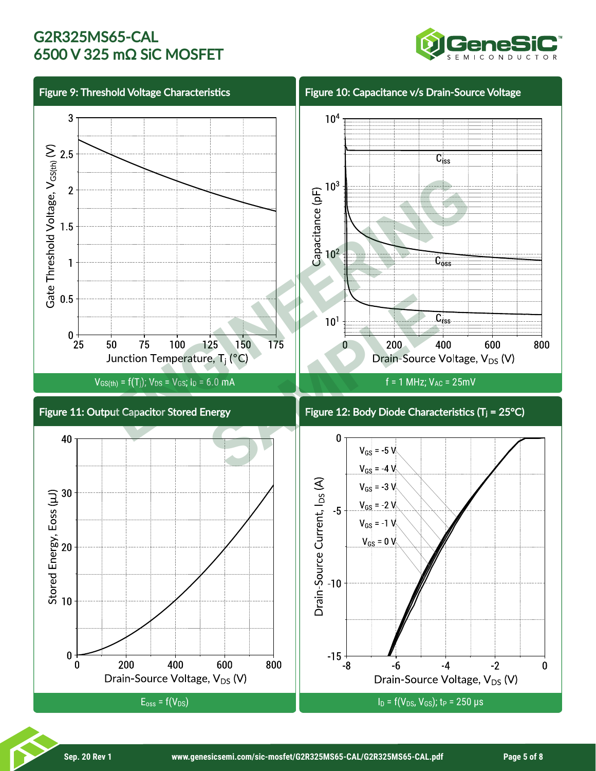

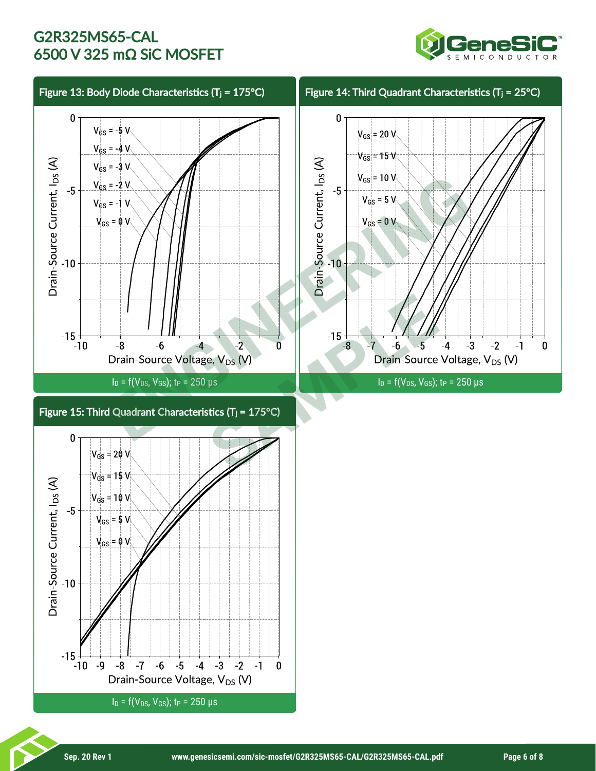

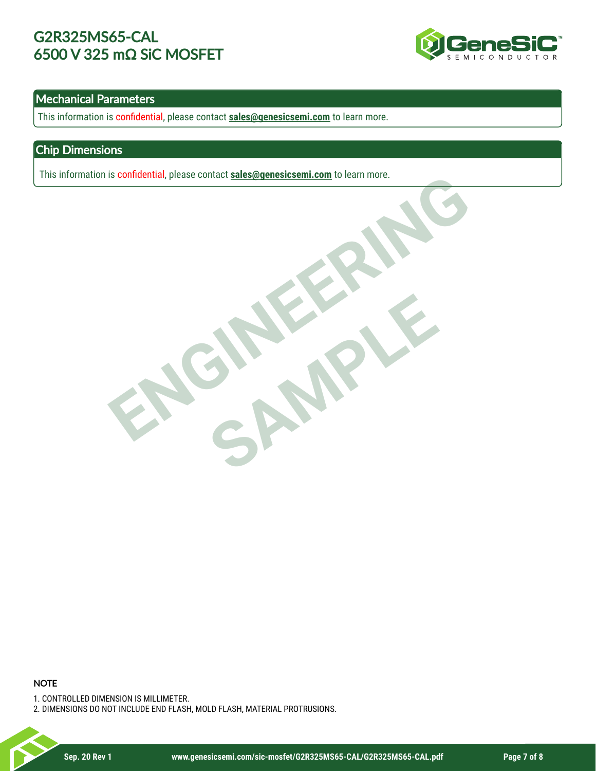

### Mechanical Parameters

This information is confidential, please contact **sales@genesicsemi.com** to learn more.

### Chip Dimensions

This information is confidential, please contact **sales@genesicsemi.com** to learn more.

ENGINEERING SAMPLE

#### **NOTE**

1. CONTROLLED DIMENSION IS MILLIMETER.

2. DIMENSIONS DO NOT INCLUDE END FLASH, MOLD FLASH, MATERIAL PROTRUSIONS.